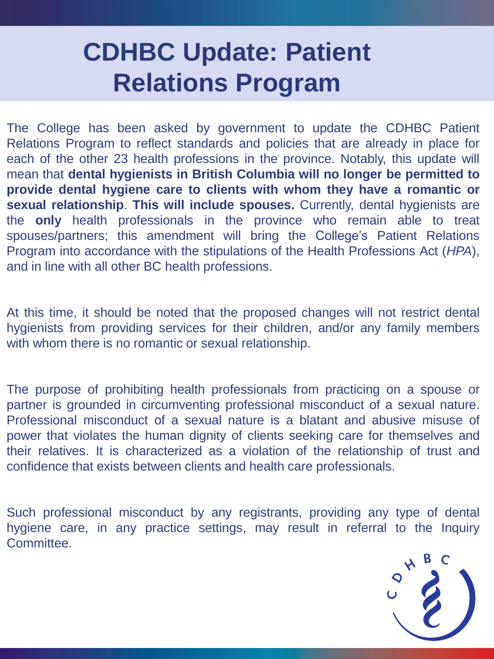## **CDHBC Update: Patient Relations Program**

The College has been asked by government to update the CDHBC Patient Relations Program to reflect standards and policies that are already in place for each of the other 23 health professions in the province. Notably, this update will mean that **dental hygienists in British Columbia will no longer be permitted to provide dental hygiene care to clients with whom they have a romantic or sexual relationship**. **This will include spouses.** Currently, dental hygienists are the **only** health professionals in the province who remain able to treat spouses/partners; this amendment will bring the College's Patient Relations Program into accordance with the stipulations of the Health Professions Act (*HPA*), and in line with all other BC health professions.

At this time, it should be noted that the proposed changes will not restrict dental hygienists from providing services for their children, and/or any family members with whom there is no romantic or sexual relationship.

The purpose of prohibiting health professionals from practicing on a spouse or partner is grounded in circumventing professional misconduct of a sexual nature. Professional misconduct of a sexual nature is a blatant and abusive misuse of power that violates the human dignity of clients seeking care for themselves and their relatives. It is characterized as a violation of the relationship of trust and confidence that exists between clients and health care professionals.

Such professional misconduct by any registrants, providing any type of dental hygiene care, in any practice settings, may result in referral to the Inquiry **Committee** 

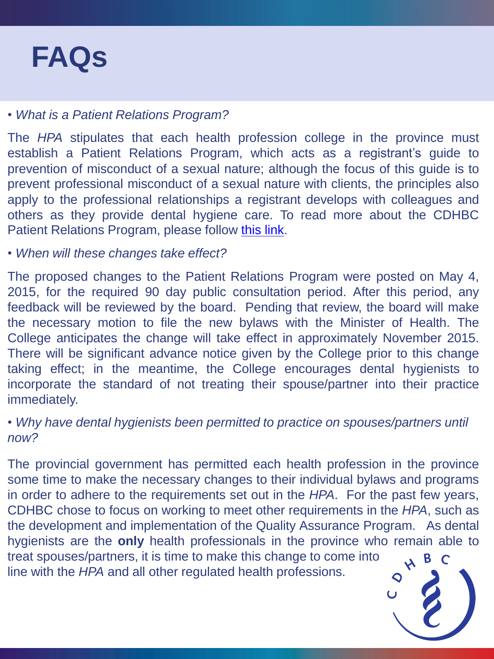## • *What is a Patient Relations Program?*

The *HPA* stipulates that each health profession college in the province must establish a Patient Relations Program, which acts as a registrant's guide to prevention of misconduct of a sexual nature; although the focus of this guide is to prevent professional misconduct of a sexual nature with clients, the principles also apply to the professional relationships a registrant develops with colleagues and others as they provide dental hygiene care. To read more about the CDHBC Patient Relations Program, please follow [this](http://www.cdhbc.com/Practice-Resources/Patient-Relations-Program.aspx) [link](http://www.cdhbc.com/Practice-Resources/Patient-Relations-Program.aspx).

• *When will these changes take effect?*

The proposed changes to the Patient Relations Program were posted on May 4, 2015, for the required 90 day public consultation period. After this period, any feedback will be reviewed by the board. Pending that review, the board will make the necessary motion to file the new bylaws with the Minister of Health. The College anticipates the change will take effect in approximately November 2015. There will be significant advance notice given by the College prior to this change taking effect; in the meantime, the College encourages dental hygienists to incorporate the standard of not treating their spouse/partner into their practice immediately.

## • *Why have dental hygienists been permitted to practice on spouses/partners until now?*

The provincial government has permitted each health profession in the province some time to make the necessary changes to their individual bylaws and programs in order to adhere to the requirements set out in the *HPA*. For the past few years, CDHBC chose to focus on working to meet other requirements in the *HPA*, such as the development and implementation of the Quality Assurance Program. As dental hygienists are the **only** health professionals in the province who remain able to treat spouses/partners, it is time to make this change to come into line with the *HPA* and all other regulated health professions.

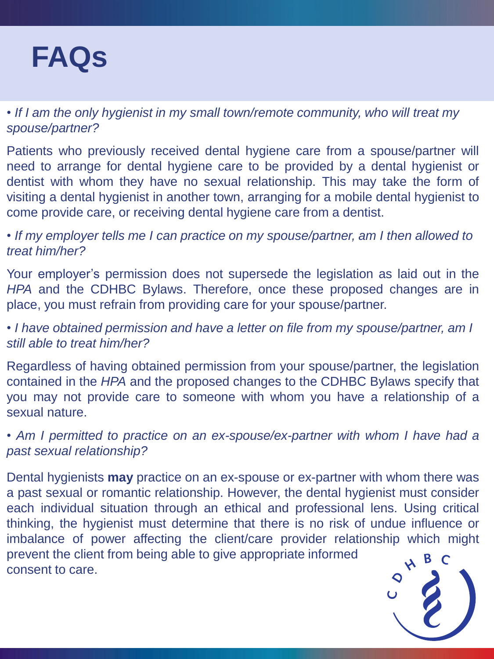

• *If I am the only hygienist in my small town/remote community, who will treat my spouse/partner?*

Patients who previously received dental hygiene care from a spouse/partner will need to arrange for dental hygiene care to be provided by a dental hygienist or dentist with whom they have no sexual relationship. This may take the form of visiting a dental hygienist in another town, arranging for a mobile dental hygienist to come provide care, or receiving dental hygiene care from a dentist.

• *If my employer tells me I can practice on my spouse/partner, am I then allowed to treat him/her?*

Your employer's permission does not supersede the legislation as laid out in the *HPA* and the CDHBC Bylaws. Therefore, once these proposed changes are in place, you must refrain from providing care for your spouse/partner.

• *I have obtained permission and have a letter on file from my spouse/partner, am I still able to treat him/her?*

Regardless of having obtained permission from your spouse/partner, the legislation contained in the *HPA* and the proposed changes to the CDHBC Bylaws specify that you may not provide care to someone with whom you have a relationship of a sexual nature.

*• Am I permitted to practice on an ex-spouse/ex-partner with whom I have had a past sexual relationship?*

Dental hygienists **may** practice on an ex-spouse or ex-partner with whom there was a past sexual or romantic relationship. However, the dental hygienist must consider each individual situation through an ethical and professional lens. Using critical thinking, the hygienist must determine that there is no risk of undue influence or imbalance of power affecting the client/care provider relationship which might prevent the client from being able to give appropriate informed consent to care.